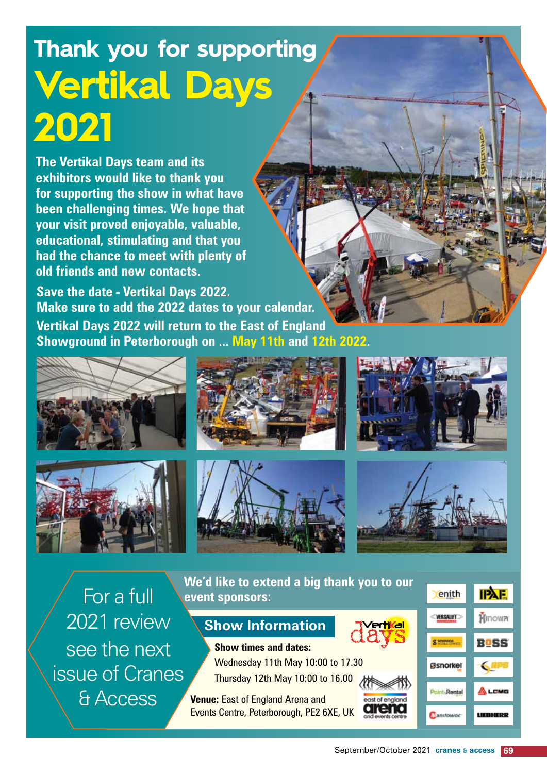## **Thank you for supporting Vertikal Days 2021**

**The Vertikal Days team and its exhibitors would like to thank you for supporting the show in what have been challenging times. We hope that your visit proved enjoyable, valuable, educational, stimulating and that you had the chance to meet with plenty of old friends and new contacts.** 

**Save the date - Vertikal Days 2022. Make sure to add the 2022 dates to your calendar. Vertikal Days 2022 will return to the East of England Showground in Peterborough on ... May 11th and 12th 2022.** 













For a full 2021 review see the next issue of Cranes & Access

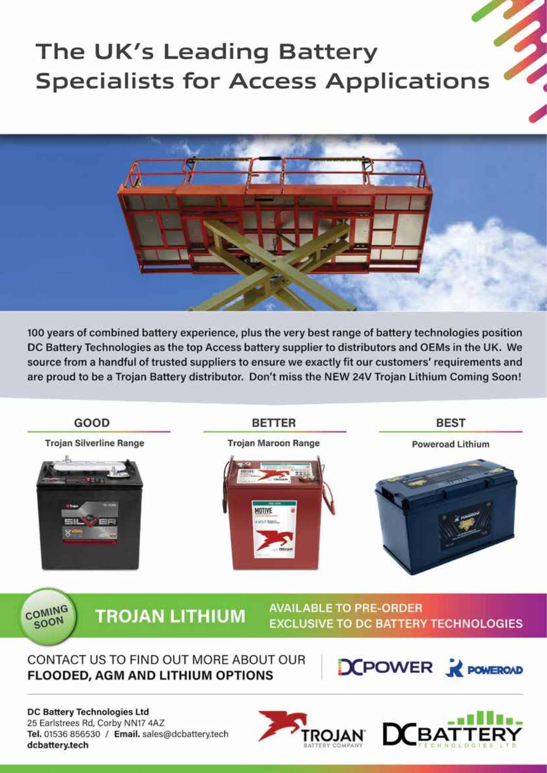## The UK's Leading Battery **Specialists for Access Applications**



100 years of combined battery experience, plus the very best range of battery technologies position DC Battery Technologies as the top Access battery supplier to distributors and OEMs in the UK. We source from a handful of trusted suppliers to ensure we exactly fit our customers' requirements and are proud to be a Trojan Battery distributor. Don't miss the NEW 24V Trojan Lithium Coming Soon!